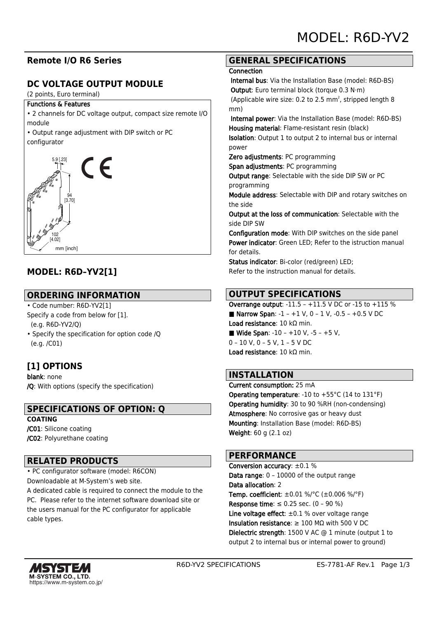# **Remote I/O R6 Series**

# **DC VOLTAGE OUTPUT MODULE**

(2 points, Euro terminal)

#### Functions & Features

• 2 channels for DC voltage output, compact size remote I/O module

• Output range adjustment with DIP switch or PC configurator



# **MODEL: R6D–YV2[1]**

### **ORDERING INFORMATION**

• Code number: R6D-YV2[1] Specify a code from below for [1]. (e.g. R6D-YV2/Q)

• Specify the specification for option code /Q (e.g. /C01)

# **[1] OPTIONS**

blank: none /Q: With options (specify the specification)

# **SPECIFICATIONS OF OPTION: Q**

#### **COATING**

/C01: Silicone coating /C02: Polyurethane coating

### **RELATED PRODUCTS**

• PC configurator software (model: R6CON) Downloadable at M-System's web site.

A dedicated cable is required to connect the module to the PC. Please refer to the internet software download site or the users manual for the PC configurator for applicable cable types.

# **GENERAL SPECIFICATIONS**

#### **Connection**

 Internal bus: Via the Installation Base (model: R6D-BS) Output: Euro terminal block (torque 0.3 N·m) (Applicable wire size: 0.2 to 2.5 mm<sup>2</sup>, stripped length 8 mm)

 Internal power: Via the Installation Base (model: R6D-BS) Housing material: Flame-resistant resin (black)

Isolation: Output 1 to output 2 to internal bus or internal power

Zero adjustments: PC programming

Span adjustments: PC programming Output range: Selectable with the side DIP SW or PC programming

Module address: Selectable with DIP and rotary switches on the side

Output at the loss of communication: Selectable with the side DIP SW

Configuration mode: With DIP switches on the side panel Power indicator: Green LED: Refer to the istruction manual for details.

Status indicator: Bi-color (red/green) LED; Refer to the instruction manual for details.

# **OUTPUT SPECIFICATIONS**

**Overrange output: -11.5 – +11.5 V DC or -15 to +115 %** ■ Narrow Span:  $-1 - +1$  V, 0  $-1$  V,  $-0.5 - +0.5$  V DC Load resistance: 10 kΩ min. ■ Wide Span:  $-10 - +10$  V,  $-5 - +5$  V, 0 – 10 V, 0 – 5 V, 1 – 5 V DC Load resistance: 10 kΩ min.

### **INSTALLATION**

Current consumption: 25 mA Operating temperature: -10 to +55°C (14 to 131°F) Operating humidity: 30 to 90 %RH (non-condensing) Atmosphere: No corrosive gas or heavy dust Mounting: Installation Base (model: R6D-BS) Weight: 60 g (2.1 oz)

### **PERFORMANCE**

Conversion accuracy: ±0.1 % Data range: 0 – 10000 of the output range Data allocation: 2 Temp. coefficient: ±0.01 %/°C (±0.006 %/°F) **Response time**: ≤ 0.25 sec.  $(0 - 90 %)$ Line voltage effect:  $\pm 0.1$  % over voltage range Insulation resistance:  $\geq 100$  M $\Omega$  with 500 V DC Dielectric strength: 1500 V AC @ 1 minute (output 1 to output 2 to internal bus or internal power to ground)

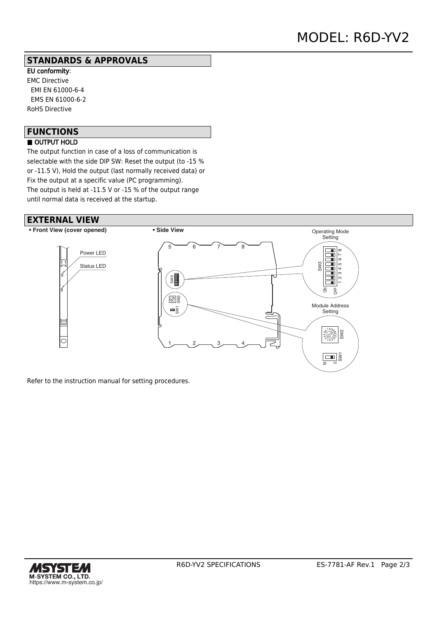### **STANDARDS & APPROVALS**

EU conformity: EMC Directive EMI EN 61000-6-4 EMS EN 61000-6-2 RoHS Directive

# **FUNCTIONS**

### ■ OUTPUT HOLD

The output function in case of a loss of communication is selectable with the side DIP SW: Reset the output (to -15 % or -11.5 V), Hold the output (last normally received data) or Fix the output at a specific value (PC programming). The output is held at -11.5 V or -15 % of the output range until normal data is received at the startup.

#### **EXTERNAL VIEW**



Refer to the instruction manual for setting procedures.